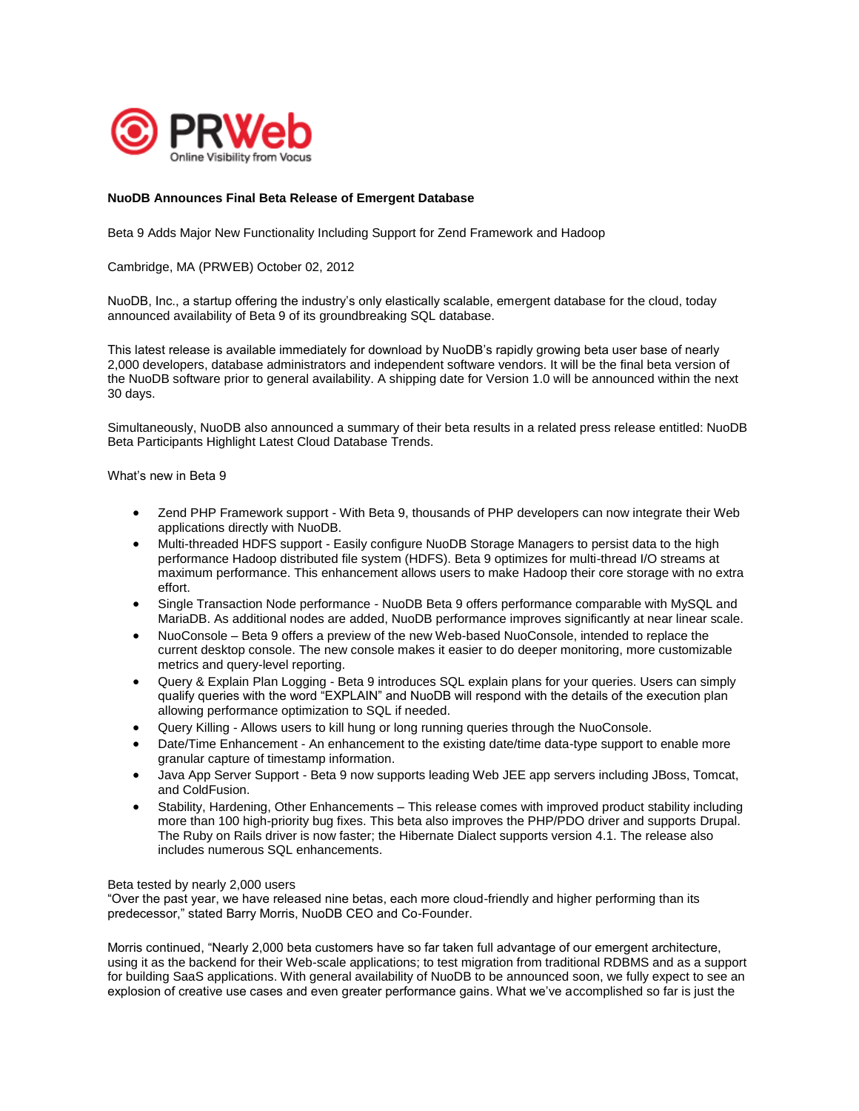

# **NuoDB Announces Final Beta Release of Emergent Database**

Beta 9 Adds Major New Functionality Including Support for Zend Framework and Hadoop

Cambridge, MA (PRWEB) October 02, 2012

NuoDB, Inc., a startup offering the industry's only elastically scalable, emergent database for the cloud, today announced availability of Beta 9 of its groundbreaking SQL database.

This latest release is available immediately for download by NuoDB's rapidly growing beta user base of nearly 2,000 developers, database administrators and independent software vendors. It will be the final beta version of the NuoDB software prior to general availability. A shipping date for Version 1.0 will be announced within the next 30 days.

Simultaneously, NuoDB also announced a summary of their beta results in a related press release entitled: NuoDB Beta Participants Highlight Latest Cloud Database Trends.

What's new in Beta 9

- Zend PHP Framework support With Beta 9, thousands of PHP developers can now integrate their Web applications directly with NuoDB.
- Multi-threaded HDFS support Easily configure NuoDB Storage Managers to persist data to the high performance Hadoop distributed file system (HDFS). Beta 9 optimizes for multi-thread I/O streams at maximum performance. This enhancement allows users to make Hadoop their core storage with no extra effort.
- Single Transaction Node performance NuoDB Beta 9 offers performance comparable with MySQL and MariaDB. As additional nodes are added, NuoDB performance improves significantly at near linear scale.
- NuoConsole Beta 9 offers a preview of the new Web-based NuoConsole, intended to replace the current desktop console. The new console makes it easier to do deeper monitoring, more customizable metrics and query-level reporting.
- Query & Explain Plan Logging Beta 9 introduces SQL explain plans for your queries. Users can simply qualify queries with the word "EXPLAIN" and NuoDB will respond with the details of the execution plan allowing performance optimization to SQL if needed.
- Query Killing Allows users to kill hung or long running queries through the NuoConsole.
- Date/Time Enhancement An enhancement to the existing date/time data-type support to enable more granular capture of timestamp information.
- Java App Server Support Beta 9 now supports leading Web JEE app servers including JBoss, Tomcat, and ColdFusion.
- Stability, Hardening, Other Enhancements This release comes with improved product stability including more than 100 high-priority bug fixes. This beta also improves the PHP/PDO driver and supports Drupal. The Ruby on Rails driver is now faster; the Hibernate Dialect supports version 4.1. The release also includes numerous SQL enhancements.

#### Beta tested by nearly 2,000 users

"Over the past year, we have released nine betas, each more cloud-friendly and higher performing than its predecessor," stated Barry Morris, NuoDB CEO and Co-Founder.

Morris continued, "Nearly 2,000 beta customers have so far taken full advantage of our emergent architecture, using it as the backend for their Web-scale applications; to test migration from traditional RDBMS and as a support for building SaaS applications. With general availability of NuoDB to be announced soon, we fully expect to see an explosion of creative use cases and even greater performance gains. What we've accomplished so far is just the